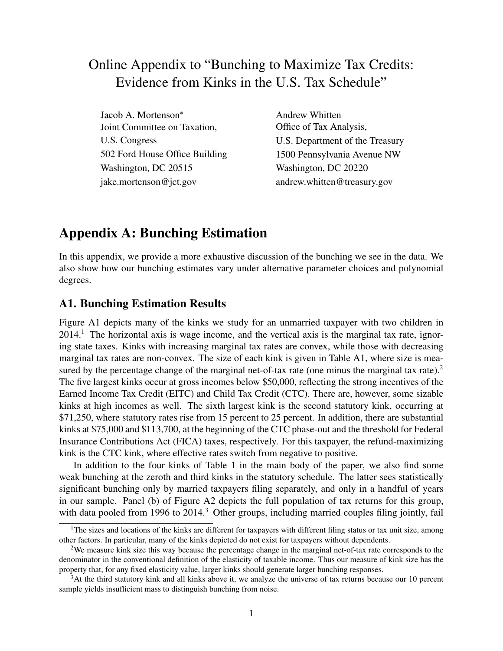# Online Appendix to "Bunching to Maximize Tax Credits: Evidence from Kinks in the U.S. Tax Schedule"

Jacob A. Mortenson\* Joint Committee on Taxation, U.S. Congress 502 Ford House Office Building Washington, DC 20515 jake.mortenson@jct.gov

Andrew Whitten Office of Tax Analysis, U.S. Department of the Treasury 1500 Pennsylvania Avenue NW Washington, DC 20220 andrew.whitten@treasury.gov

## Appendix A: Bunching Estimation

In this appendix, we provide a more exhaustive discussion of the bunching we see in the data. We also show how our bunching estimates vary under alternative parameter choices and polynomial degrees.

### A1. Bunching Estimation Results

Figure A1 depicts many of the kinks we study for an unmarried taxpayer with two children in  $2014<sup>1</sup>$ . The horizontal axis is wage income, and the vertical axis is the marginal tax rate, ignoring state taxes. Kinks with increasing marginal tax rates are convex, while those with decreasing marginal tax rates are non-convex. The size of each kink is given in Table A1, where size is measured by the percentage change of the marginal net-of-tax rate (one minus the marginal tax rate). $2^{\circ}$ The five largest kinks occur at gross incomes below \$50,000, reflecting the strong incentives of the Earned Income Tax Credit (EITC) and Child Tax Credit (CTC). There are, however, some sizable kinks at high incomes as well. The sixth largest kink is the second statutory kink, occurring at \$71,250, where statutory rates rise from 15 percent to 25 percent. In addition, there are substantial kinks at \$75,000 and \$113,700, at the beginning of the CTC phase-out and the threshold for Federal Insurance Contributions Act (FICA) taxes, respectively. For this taxpayer, the refund-maximizing kink is the CTC kink, where effective rates switch from negative to positive.

In addition to the four kinks of Table 1 in the main body of the paper, we also find some weak bunching at the zeroth and third kinks in the statutory schedule. The latter sees statistically significant bunching only by married taxpayers filing separately, and only in a handful of years in our sample. Panel (b) of Figure A2 depicts the full population of tax returns for this group, with data pooled from 1996 to 2014.<sup>3</sup> Other groups, including married couples filing jointly, fail

<sup>&</sup>lt;sup>1</sup>The sizes and locations of the kinks are different for taxpayers with different filing status or tax unit size, among other factors. In particular, many of the kinks depicted do not exist for taxpayers without dependents.

<sup>&</sup>lt;sup>2</sup>We measure kink size this way because the percentage change in the marginal net-of-tax rate corresponds to the denominator in the conventional definition of the elasticity of taxable income. Thus our measure of kink size has the property that, for any fixed elasticity value, larger kinks should generate larger bunching responses.

<sup>&</sup>lt;sup>3</sup>At the third statutory kink and all kinks above it, we analyze the universe of tax returns because our 10 percent sample yields insufficient mass to distinguish bunching from noise.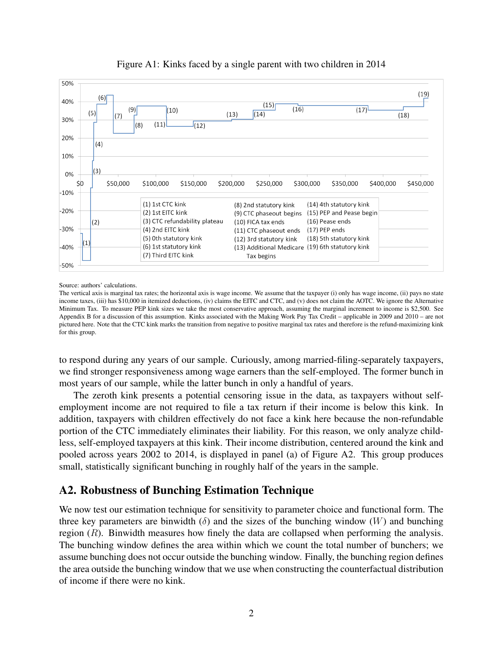

#### Figure A1: Kinks faced by a single parent with two children in 2014

Source: authors' calculations.

The vertical axis is marginal tax rates; the horizontal axis is wage income. We assume that the taxpayer (i) only has wage income, (ii) pays no state income taxes, (iii) has \$10,000 in itemized deductions, (iv) claims the EITC and CTC, and (v) does not claim the AOTC. We ignore the Alternative Minimum Tax. To measure PEP kink sizes we take the most conservative approach, assuming the marginal increment to income is \$2,500. See Appendix B for a discussion of this assumption. Kinks associated with the Making Work Pay Tax Credit – applicable in 2009 and 2010 – are not pictured here. Note that the CTC kink marks the transition from negative to positive marginal tax rates and therefore is the refund-maximizing kink for this group.

to respond during any years of our sample. Curiously, among married-filing-separately taxpayers, we find stronger responsiveness among wage earners than the self-employed. The former bunch in most years of our sample, while the latter bunch in only a handful of years.

The zeroth kink presents a potential censoring issue in the data, as taxpayers without selfemployment income are not required to file a tax return if their income is below this kink. In addition, taxpayers with children effectively do not face a kink here because the non-refundable portion of the CTC immediately eliminates their liability. For this reason, we only analyze childless, self-employed taxpayers at this kink. Their income distribution, centered around the kink and pooled across years 2002 to 2014, is displayed in panel (a) of Figure A2. This group produces small, statistically significant bunching in roughly half of the years in the sample.

### A2. Robustness of Bunching Estimation Technique

We now test our estimation technique for sensitivity to parameter choice and functional form. The three key parameters are binwidth ( $\delta$ ) and the sizes of the bunching window (W) and bunching region  $(R)$ . Binwidth measures how finely the data are collapsed when performing the analysis. The bunching window defines the area within which we count the total number of bunchers; we assume bunching does not occur outside the bunching window. Finally, the bunching region defines the area outside the bunching window that we use when constructing the counterfactual distribution of income if there were no kink.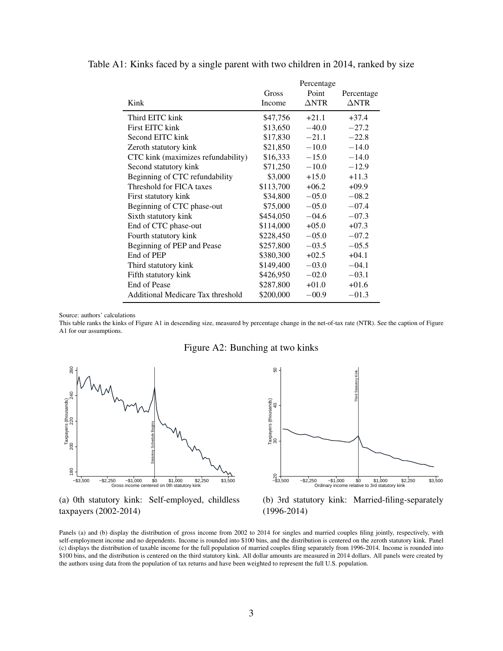|                                    | Gross     | Percentage<br>Point | Percentage      |
|------------------------------------|-----------|---------------------|-----------------|
| Kink                               | Income    | $\triangle NTR$     | $\triangle NTR$ |
| Third EITC kink                    | \$47,756  | $+21.1$             | $+37.4$         |
| First EITC kink                    | \$13,650  | $-40.0$             | $-27.2$         |
| Second EITC kink                   | \$17,830  | $-21.1$             | $-22.8$         |
| Zeroth statutory kink              | \$21,850  | $-10.0$             | $-14.0$         |
| CTC kink (maximizes refundability) | \$16,333  | $-15.0$             | $-14.0$         |
| Second statutory kink              | \$71,250  | $-10.0$             | $-12.9$         |
| Beginning of CTC refundability     | \$3,000   | $+15.0$             | $+11.3$         |
| Threshold for FICA taxes           | \$113,700 | $+06.2$             | $+09.9$         |
| First statutory kink               | \$34,800  | $-05.0$             | $-08.2$         |
| Beginning of CTC phase-out         | \$75,000  | $-05.0$             | $-07.4$         |
| Sixth statutory kink               | \$454,050 | $-04.6$             | $-07.3$         |
| End of CTC phase-out               | \$114,000 | $+05.0$             | $+07.3$         |
| Fourth statutory kink              | \$228,450 | $-05.0$             | $-07.2$         |
| Beginning of PEP and Pease         | \$257,800 | $-03.5$             | $-05.5$         |
| End of PEP                         | \$380,300 | $+02.5$             | $+04.1$         |
| Third statutory kink               | \$149,400 | $-03.0$             | $-04.1$         |
| Fifth statutory kink               | \$426,950 | $-02.0$             | $-03.1$         |
| End of Pease                       | \$287,800 | $+01.0$             | $+01.6$         |
| Additional Medicare Tax threshold  | \$200,000 | $-00.9$             | $-01.3$         |

Table A1: Kinks faced by a single parent with two children in 2014, ranked by size

Source: authors' calculations

This table ranks the kinks of Figure A1 in descending size, measured by percentage change in the net-of-tax rate (NTR). See the caption of Figure A1 for our assumptions.





(a) 0th statutory kink: Self-employed, childless taxpayers (2002-2014)



(b) 3rd statutory kink: Married-filing-separately (1996-2014)

Panels (a) and (b) display the distribution of gross income from 2002 to 2014 for singles and married couples filing jointly, respectively, with self-employment income and no dependents. Income is rounded into \$100 bins, and the distribution is centered on the zeroth statutory kink. Panel (c) displays the distribution of taxable income for the full population of married couples filing separately from 1996-2014. Income is rounded into \$100 bins, and the distribution is centered on the third statutory kink. All dollar amounts are measured in 2014 dollars. All panels were created by the authors using data from the population of tax returns and have been weighted to represent the full U.S. population.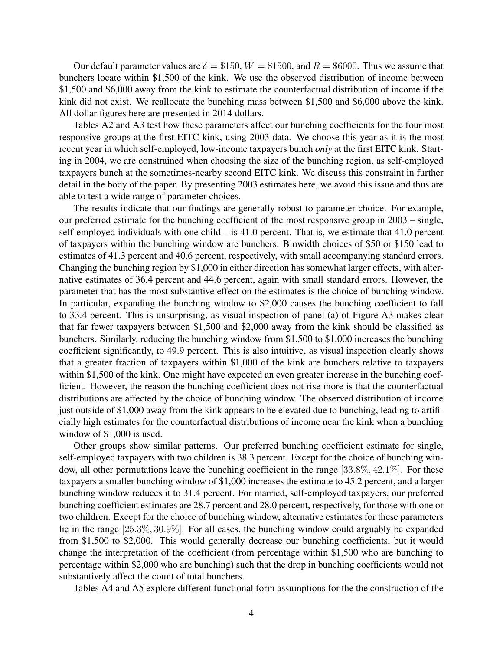Our default parameter values are  $\delta = \$150$ ,  $W = \$1500$ , and  $R = \$6000$ . Thus we assume that bunchers locate within \$1,500 of the kink. We use the observed distribution of income between \$1,500 and \$6,000 away from the kink to estimate the counterfactual distribution of income if the kink did not exist. We reallocate the bunching mass between \$1,500 and \$6,000 above the kink. All dollar figures here are presented in 2014 dollars.

Tables A2 and A3 test how these parameters affect our bunching coefficients for the four most responsive groups at the first EITC kink, using 2003 data. We choose this year as it is the most recent year in which self-employed, low-income taxpayers bunch *only* at the first EITC kink. Starting in 2004, we are constrained when choosing the size of the bunching region, as self-employed taxpayers bunch at the sometimes-nearby second EITC kink. We discuss this constraint in further detail in the body of the paper. By presenting 2003 estimates here, we avoid this issue and thus are able to test a wide range of parameter choices.

The results indicate that our findings are generally robust to parameter choice. For example, our preferred estimate for the bunching coefficient of the most responsive group in 2003 – single, self-employed individuals with one child – is 41.0 percent. That is, we estimate that 41.0 percent of taxpayers within the bunching window are bunchers. Binwidth choices of \$50 or \$150 lead to estimates of 41.3 percent and 40.6 percent, respectively, with small accompanying standard errors. Changing the bunching region by \$1,000 in either direction has somewhat larger effects, with alternative estimates of 36.4 percent and 44.6 percent, again with small standard errors. However, the parameter that has the most substantive effect on the estimates is the choice of bunching window. In particular, expanding the bunching window to \$2,000 causes the bunching coefficient to fall to 33.4 percent. This is unsurprising, as visual inspection of panel (a) of Figure A3 makes clear that far fewer taxpayers between \$1,500 and \$2,000 away from the kink should be classified as bunchers. Similarly, reducing the bunching window from \$1,500 to \$1,000 increases the bunching coefficient significantly, to 49.9 percent. This is also intuitive, as visual inspection clearly shows that a greater fraction of taxpayers within \$1,000 of the kink are bunchers relative to taxpayers within \$1,500 of the kink. One might have expected an even greater increase in the bunching coefficient. However, the reason the bunching coefficient does not rise more is that the counterfactual distributions are affected by the choice of bunching window. The observed distribution of income just outside of \$1,000 away from the kink appears to be elevated due to bunching, leading to artificially high estimates for the counterfactual distributions of income near the kink when a bunching window of \$1,000 is used.

Other groups show similar patterns. Our preferred bunching coefficient estimate for single, self-employed taxpayers with two children is 38.3 percent. Except for the choice of bunching window, all other permutations leave the bunching coefficient in the range [33.8%, 42.1%]. For these taxpayers a smaller bunching window of \$1,000 increases the estimate to 45.2 percent, and a larger bunching window reduces it to 31.4 percent. For married, self-employed taxpayers, our preferred bunching coefficient estimates are 28.7 percent and 28.0 percent, respectively, for those with one or two children. Except for the choice of bunching window, alternative estimates for these parameters lie in the range [25.3%, 30.9%]. For all cases, the bunching window could arguably be expanded from \$1,500 to \$2,000. This would generally decrease our bunching coefficients, but it would change the interpretation of the coefficient (from percentage within \$1,500 who are bunching to percentage within \$2,000 who are bunching) such that the drop in bunching coefficients would not substantively affect the count of total bunchers.

Tables A4 and A5 explore different functional form assumptions for the the construction of the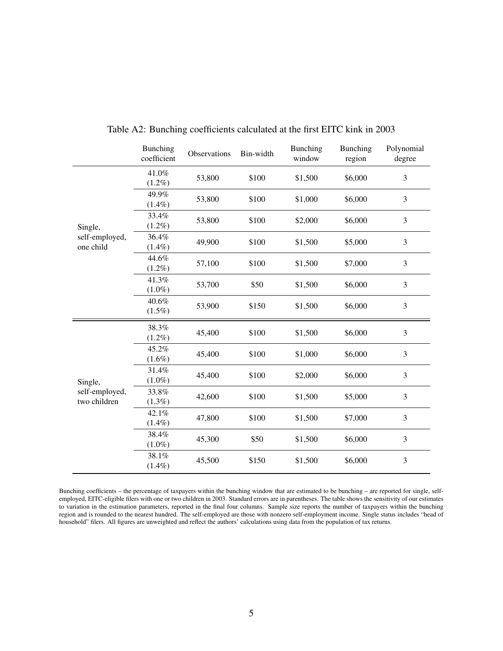|                                           | <b>Bunching</b><br>coefficient | Observations | Bin-width | Bunching<br>window | Bunching<br>region | Polynomial<br>degree |
|-------------------------------------------|--------------------------------|--------------|-----------|--------------------|--------------------|----------------------|
| Single,<br>self-employed,<br>one child    | 41.0%<br>$(1.2\%)$             | 53,800       | \$100     | \$1,500            | \$6,000            | 3                    |
|                                           | 49.9%<br>$(1.4\%)$             | 53,800       | \$100     | \$1,000            | \$6,000            | 3                    |
|                                           | 33.4%<br>$(1.2\%)$             | 53,800       | \$100     | \$2,000            | \$6,000            | 3                    |
|                                           | 36.4%<br>$(1.4\%)$             | 49,900       | \$100     | \$1,500            | \$5,000            | 3                    |
|                                           | 44.6%<br>$(1.2\%)$             | 57,100       | \$100     | \$1,500            | \$7,000            | 3                    |
|                                           | 41.3%<br>$(1.0\%)$             | 53,700       | \$50      | \$1,500            | \$6,000            | 3                    |
|                                           | 40.6%<br>$(1.5\%)$             | 53,900       | \$150     | \$1,500            | \$6,000            | 3                    |
| Single,<br>self-employed,<br>two children | 38.3%<br>$(1.2\%)$             | 45,400       | \$100     | \$1,500            | \$6,000            | $\mathfrak{Z}$       |
|                                           | 45.2%<br>$(1.6\%)$             | 45,400       | \$100     | \$1,000            | \$6,000            | 3                    |
|                                           | 31.4%<br>$(1.0\%)$             | 45,400       | \$100     | \$2,000            | \$6,000            | 3                    |
|                                           | 33.8%<br>$(1.3\%)$             | 42,600       | \$100     | \$1,500            | \$5,000            | 3                    |
|                                           | 42.1%<br>$(1.4\%)$             | 47,800       | \$100     | \$1,500            | \$7,000            | 3                    |
|                                           | 38.4%<br>$(1.0\%)$             | 45,300       | \$50      | \$1,500            | \$6,000            | $\mathfrak{Z}$       |
|                                           | 38.1%<br>$(1.4\%)$             | 45,500       | \$150     | \$1,500            | \$6,000            | 3                    |

Table A2: Bunching coefficients calculated at the first EITC kink in 2003

Bunching coefficients – the percentage of taxpayers within the bunching window that are estimated to be bunching – are reported for single, selfemployed, EITC-eligible filers with one or two children in 2003. Standard errors are in parentheses. The table shows the sensitivity of our estimates to variation in the estimation parameters, reported in the final four columns. Sample size reports the number of taxpayers within the bunching region and is rounded to the nearest hundred. The self-employed are those with nonzero self-employment income. Single status includes "head of household" filers. All figures are unweighted and reflect the authors' calculations using data from the population of tax returns.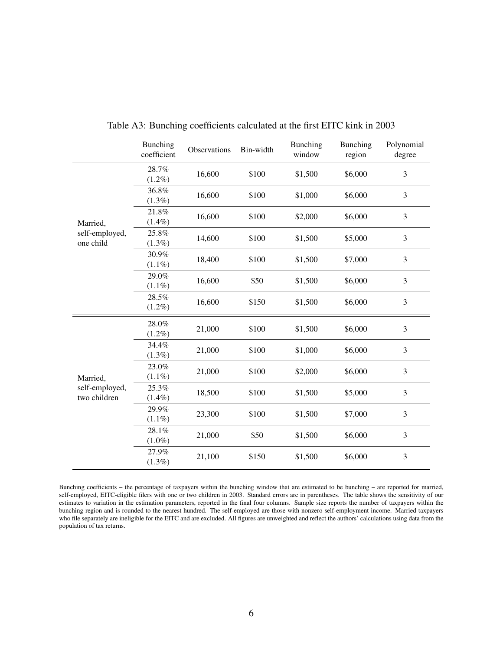|                                            | <b>Bunching</b><br>coefficient | Observations | Bin-width | <b>Bunching</b><br>window | <b>Bunching</b><br>region | Polynomial<br>degree |
|--------------------------------------------|--------------------------------|--------------|-----------|---------------------------|---------------------------|----------------------|
| Married,<br>self-employed,<br>one child    | 28.7%<br>$(1.2\%)$             | 16,600       | \$100     | \$1,500                   | \$6,000                   | 3                    |
|                                            | 36.8%<br>$(1.3\%)$             | 16,600       | \$100     | \$1,000                   | \$6,000                   | 3                    |
|                                            | 21.8%<br>$(1.4\%)$             | 16,600       | \$100     | \$2,000                   | \$6,000                   | 3                    |
|                                            | 25.8%<br>$(1.3\%)$             | 14,600       | \$100     | \$1,500                   | \$5,000                   | 3                    |
|                                            | 30.9%<br>$(1.1\%)$             | 18,400       | \$100     | \$1,500                   | \$7,000                   | 3                    |
|                                            | 29.0%<br>$(1.1\%)$             | 16,600       | \$50      | \$1,500                   | \$6,000                   | $\mathfrak{Z}$       |
|                                            | 28.5%<br>$(1.2\%)$             | 16,600       | \$150     | \$1,500                   | \$6,000                   | 3                    |
| Married,<br>self-employed,<br>two children | 28.0%<br>$(1.2\%)$             | 21,000       | \$100     | \$1,500                   | \$6,000                   | 3                    |
|                                            | 34.4%<br>$(1.3\%)$             | 21,000       | \$100     | \$1,000                   | \$6,000                   | 3                    |
|                                            | 23.0%<br>$(1.1\%)$             | 21,000       | \$100     | \$2,000                   | \$6,000                   | 3                    |
|                                            | 25.3%<br>$(1.4\%)$             | 18,500       | \$100     | \$1,500                   | \$5,000                   | $\mathfrak{Z}$       |
|                                            | 29.9%<br>$(1.1\%)$             | 23,300       | \$100     | \$1,500                   | \$7,000                   | 3                    |
|                                            | 28.1%<br>$(1.0\%)$             | 21,000       | \$50      | \$1,500                   | \$6,000                   | 3                    |
|                                            | 27.9%<br>$(1.3\%)$             | 21,100       | \$150     | \$1,500                   | \$6,000                   | 3                    |

Table A3: Bunching coefficients calculated at the first EITC kink in 2003

Bunching coefficients – the percentage of taxpayers within the bunching window that are estimated to be bunching – are reported for married, self-employed, EITC-eligible filers with one or two children in 2003. Standard errors are in parentheses. The table shows the sensitivity of our estimates to variation in the estimation parameters, reported in the final four columns. Sample size reports the number of taxpayers within the bunching region and is rounded to the nearest hundred. The self-employed are those with nonzero self-employment income. Married taxpayers who file separately are ineligible for the EITC and are excluded. All figures are unweighted and reflect the authors' calculations using data from the population of tax returns.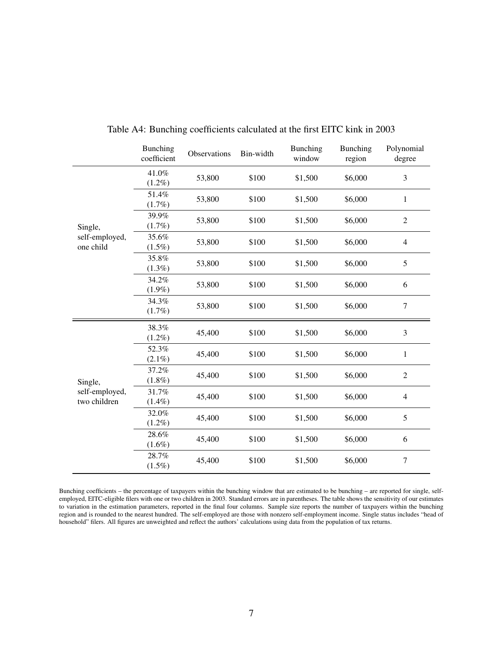|                                           | <b>Bunching</b><br>coefficient | Observations | Bin-width | Bunching<br>window | Bunching<br>region | Polynomial<br>degree |
|-------------------------------------------|--------------------------------|--------------|-----------|--------------------|--------------------|----------------------|
| Single,<br>self-employed,<br>one child    | 41.0%<br>$(1.2\%)$             | 53,800       | \$100     | \$1,500            | \$6,000            | 3                    |
|                                           | 51.4%<br>(1.7%)                | 53,800       | \$100     | \$1,500            | \$6,000            | $\mathbf{1}$         |
|                                           | 39.9%<br>(1.7%)                | 53,800       | \$100     | \$1,500            | \$6,000            | $\overline{2}$       |
|                                           | 35.6%<br>$(1.5\%)$             | 53,800       | \$100     | \$1,500            | \$6,000            | $\overline{4}$       |
|                                           | 35.8%<br>$(1.3\%)$             | 53,800       | \$100     | \$1,500            | \$6,000            | 5                    |
|                                           | 34.2%<br>$(1.9\%)$             | 53,800       | \$100     | \$1,500            | \$6,000            | 6                    |
|                                           | 34.3%<br>$(1.7\%)$             | 53,800       | \$100     | \$1,500            | \$6,000            | $\overline{7}$       |
| Single,<br>self-employed,<br>two children | 38.3%<br>$(1.2\%)$             | 45,400       | \$100     | \$1,500            | \$6,000            | 3                    |
|                                           | 52.3%<br>$(2.1\%)$             | 45,400       | \$100     | \$1,500            | \$6,000            | $\mathbf{1}$         |
|                                           | 37.2%<br>$(1.8\%)$             | 45,400       | \$100     | \$1,500            | \$6,000            | $\overline{2}$       |
|                                           | 31.7%<br>$(1.4\%)$             | 45,400       | \$100     | \$1,500            | \$6,000            | $\overline{4}$       |
|                                           | 32.0%<br>$(1.2\%)$             | 45,400       | \$100     | \$1,500            | \$6,000            | 5                    |
|                                           | 28.6%<br>$(1.6\%)$             | 45,400       | \$100     | \$1,500            | \$6,000            | 6                    |
|                                           | 28.7%<br>$(1.5\%)$             | 45,400       | \$100     | \$1,500            | \$6,000            | $\tau$               |

Table A4: Bunching coefficients calculated at the first EITC kink in 2003

Bunching coefficients – the percentage of taxpayers within the bunching window that are estimated to be bunching – are reported for single, selfemployed, EITC-eligible filers with one or two children in 2003. Standard errors are in parentheses. The table shows the sensitivity of our estimates to variation in the estimation parameters, reported in the final four columns. Sample size reports the number of taxpayers within the bunching region and is rounded to the nearest hundred. The self-employed are those with nonzero self-employment income. Single status includes "head of household" filers. All figures are unweighted and reflect the authors' calculations using data from the population of tax returns.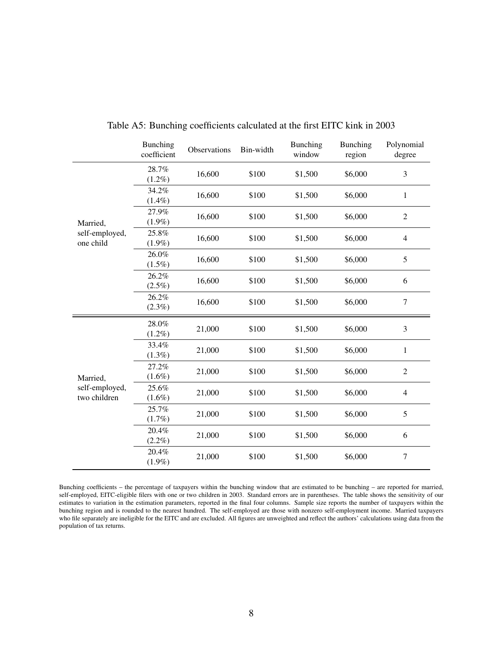|                                            | <b>Bunching</b><br>coefficient | Observations | Bin-width | <b>Bunching</b><br>window | <b>Bunching</b><br>region | Polynomial<br>degree |
|--------------------------------------------|--------------------------------|--------------|-----------|---------------------------|---------------------------|----------------------|
| Married,<br>self-employed,<br>one child    | 28.7%<br>$(1.2\%)$             | 16,600       | \$100     | \$1,500                   | \$6,000                   | 3                    |
|                                            | 34.2%<br>$(1.4\%)$             | 16,600       | \$100     | \$1,500                   | \$6,000                   | $\mathbf{1}$         |
|                                            | 27.9%<br>$(1.9\%)$             | 16,600       | \$100     | \$1,500                   | \$6,000                   | $\overline{2}$       |
|                                            | 25.8%<br>$(1.9\%)$             | 16,600       | \$100     | \$1,500                   | \$6,000                   | $\overline{4}$       |
|                                            | 26.0%<br>$(1.5\%)$             | 16,600       | \$100     | \$1,500                   | \$6,000                   | 5                    |
|                                            | 26.2%<br>$(2.5\%)$             | 16,600       | \$100     | \$1,500                   | \$6,000                   | 6                    |
|                                            | 26.2%<br>$(2.3\%)$             | 16,600       | \$100     | \$1,500                   | \$6,000                   | $\boldsymbol{7}$     |
| Married,<br>self-employed,<br>two children | 28.0%<br>$(1.2\%)$             | 21,000       | \$100     | \$1,500                   | \$6,000                   | 3                    |
|                                            | 33.4%<br>$(1.3\%)$             | 21,000       | \$100     | \$1,500                   | \$6,000                   | $\mathbf{1}$         |
|                                            | 27.2%<br>$(1.6\%)$             | 21,000       | \$100     | \$1,500                   | \$6,000                   | $\overline{2}$       |
|                                            | 25.6%<br>$(1.6\%)$             | 21,000       | \$100     | \$1,500                   | \$6,000                   | $\overline{4}$       |
|                                            | 25.7%<br>(1.7%)                | 21,000       | \$100     | \$1,500                   | \$6,000                   | 5                    |
|                                            | 20.4%<br>$(2.2\%)$             | 21,000       | \$100     | \$1,500                   | \$6,000                   | 6                    |
|                                            | 20.4%<br>$(1.9\%)$             | 21,000       | \$100     | \$1,500                   | \$6,000                   | 7                    |

Table A5: Bunching coefficients calculated at the first EITC kink in 2003

Bunching coefficients – the percentage of taxpayers within the bunching window that are estimated to be bunching – are reported for married, self-employed, EITC-eligible filers with one or two children in 2003. Standard errors are in parentheses. The table shows the sensitivity of our estimates to variation in the estimation parameters, reported in the final four columns. Sample size reports the number of taxpayers within the bunching region and is rounded to the nearest hundred. The self-employed are those with nonzero self-employment income. Married taxpayers who file separately are ineligible for the EITC and are excluded. All figures are unweighted and reflect the authors' calculations using data from the population of tax returns.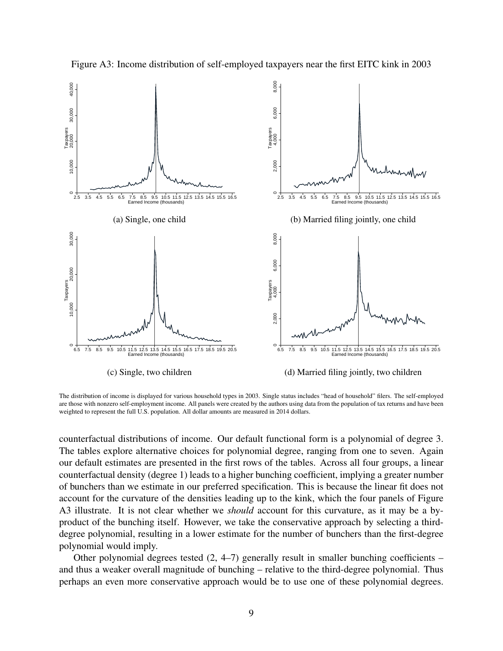

Figure A3: Income distribution of self-employed taxpayers near the first EITC kink in 2003

The distribution of income is displayed for various household types in 2003. Single status includes "head of household" filers. The self-employed are those with nonzero self-employment income. All panels were created by the authors using data from the population of tax returns and have been weighted to represent the full U.S. population. All dollar amounts are measured in 2014 dollars.

counterfactual distributions of income. Our default functional form is a polynomial of degree 3. The tables explore alternative choices for polynomial degree, ranging from one to seven. Again our default estimates are presented in the first rows of the tables. Across all four groups, a linear counterfactual density (degree 1) leads to a higher bunching coefficient, implying a greater number of bunchers than we estimate in our preferred specification. This is because the linear fit does not account for the curvature of the densities leading up to the kink, which the four panels of Figure A3 illustrate. It is not clear whether we *should* account for this curvature, as it may be a byproduct of the bunching itself. However, we take the conservative approach by selecting a thirddegree polynomial, resulting in a lower estimate for the number of bunchers than the first-degree polynomial would imply.

Other polynomial degrees tested  $(2, 4-7)$  generally result in smaller bunching coefficients – and thus a weaker overall magnitude of bunching – relative to the third-degree polynomial. Thus perhaps an even more conservative approach would be to use one of these polynomial degrees.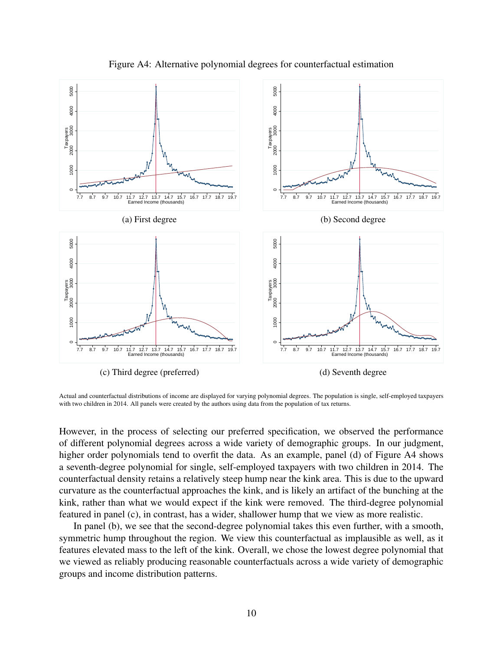

Figure A4: Alternative polynomial degrees for counterfactual estimation

Actual and counterfactual distributions of income are displayed for varying polynomial degrees. The population is single, self-employed taxpayers with two children in 2014. All panels were created by the authors using data from the population of tax returns.

However, in the process of selecting our preferred specification, we observed the performance of different polynomial degrees across a wide variety of demographic groups. In our judgment, higher order polynomials tend to overfit the data. As an example, panel (d) of Figure A4 shows a seventh-degree polynomial for single, self-employed taxpayers with two children in 2014. The counterfactual density retains a relatively steep hump near the kink area. This is due to the upward curvature as the counterfactual approaches the kink, and is likely an artifact of the bunching at the kink, rather than what we would expect if the kink were removed. The third-degree polynomial featured in panel (c), in contrast, has a wider, shallower hump that we view as more realistic.

In panel (b), we see that the second-degree polynomial takes this even further, with a smooth, symmetric hump throughout the region. We view this counterfactual as implausible as well, as it features elevated mass to the left of the kink. Overall, we chose the lowest degree polynomial that we viewed as reliably producing reasonable counterfactuals across a wide variety of demographic groups and income distribution patterns.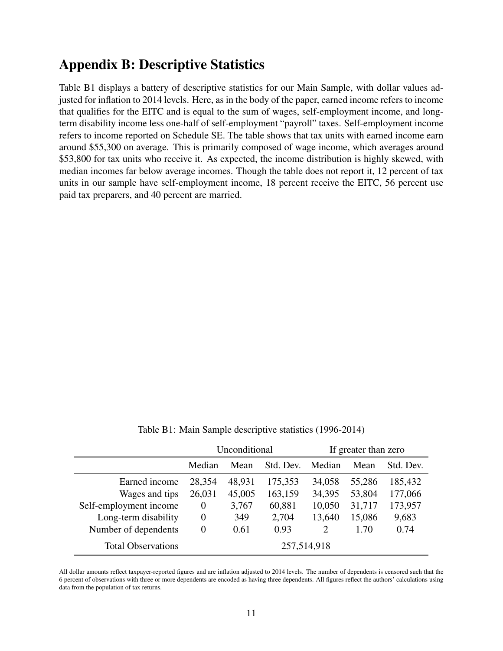## Appendix B: Descriptive Statistics

Table B1 displays a battery of descriptive statistics for our Main Sample, with dollar values adjusted for inflation to 2014 levels. Here, as in the body of the paper, earned income refers to income that qualifies for the EITC and is equal to the sum of wages, self-employment income, and longterm disability income less one-half of self-employment "payroll" taxes. Self-employment income refers to income reported on Schedule SE. The table shows that tax units with earned income earn around \$55,300 on average. This is primarily composed of wage income, which averages around \$53,800 for tax units who receive it. As expected, the income distribution is highly skewed, with median incomes far below average incomes. Though the table does not report it, 12 percent of tax units in our sample have self-employment income, 18 percent receive the EITC, 56 percent use paid tax preparers, and 40 percent are married.

Table B1: Main Sample descriptive statistics (1996-2014)

|                           | Unconditional               |        |         | If greater than zero |           |         |
|---------------------------|-----------------------------|--------|---------|----------------------|-----------|---------|
|                           | Median<br>Std. Dev.<br>Mean |        | Median  | Mean                 | Std. Dev. |         |
| Earned income             | 28,354                      | 48,931 | 175,353 | 34,058               | 55,286    | 185,432 |
| Wages and tips            | 26,031                      | 45,005 | 163,159 | 34,395               | 53,804    | 177,066 |
| Self-employment income    | $\theta$                    | 3,767  | 60,881  | 10,050               | 31,717    | 173,957 |
| Long-term disability      | $\Omega$                    | 349    | 2,704   | 13,640               | 15,086    | 9,683   |
| Number of dependents      | $\Omega$                    | 0.61   | 0.93    | 2                    | 1.70      | 0.74    |
| <b>Total Observations</b> | 257,514,918                 |        |         |                      |           |         |

All dollar amounts reflect taxpayer-reported figures and are inflation adjusted to 2014 levels. The number of dependents is censored such that the 6 percent of observations with three or more dependents are encoded as having three dependents. All figures reflect the authors' calculations using data from the population of tax returns.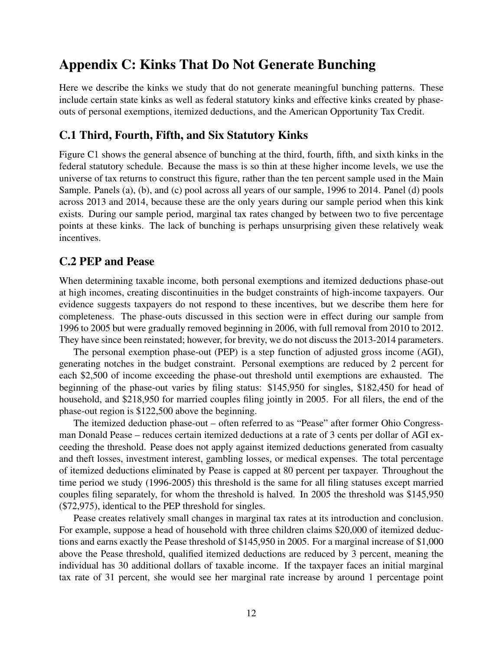# Appendix C: Kinks That Do Not Generate Bunching

Here we describe the kinks we study that do not generate meaningful bunching patterns. These include certain state kinks as well as federal statutory kinks and effective kinks created by phaseouts of personal exemptions, itemized deductions, and the American Opportunity Tax Credit.

#### C.1 Third, Fourth, Fifth, and Six Statutory Kinks

Figure C1 shows the general absence of bunching at the third, fourth, fifth, and sixth kinks in the federal statutory schedule. Because the mass is so thin at these higher income levels, we use the universe of tax returns to construct this figure, rather than the ten percent sample used in the Main Sample. Panels (a), (b), and (c) pool across all years of our sample, 1996 to 2014. Panel (d) pools across 2013 and 2014, because these are the only years during our sample period when this kink exists. During our sample period, marginal tax rates changed by between two to five percentage points at these kinks. The lack of bunching is perhaps unsurprising given these relatively weak incentives.

### C.2 PEP and Pease

When determining taxable income, both personal exemptions and itemized deductions phase-out at high incomes, creating discontinuities in the budget constraints of high-income taxpayers. Our evidence suggests taxpayers do not respond to these incentives, but we describe them here for completeness. The phase-outs discussed in this section were in effect during our sample from 1996 to 2005 but were gradually removed beginning in 2006, with full removal from 2010 to 2012. They have since been reinstated; however, for brevity, we do not discuss the 2013-2014 parameters.

The personal exemption phase-out (PEP) is a step function of adjusted gross income (AGI), generating notches in the budget constraint. Personal exemptions are reduced by 2 percent for each \$2,500 of income exceeding the phase-out threshold until exemptions are exhausted. The beginning of the phase-out varies by filing status: \$145,950 for singles, \$182,450 for head of household, and \$218,950 for married couples filing jointly in 2005. For all filers, the end of the phase-out region is \$122,500 above the beginning.

The itemized deduction phase-out – often referred to as "Pease" after former Ohio Congressman Donald Pease – reduces certain itemized deductions at a rate of 3 cents per dollar of AGI exceeding the threshold. Pease does not apply against itemized deductions generated from casualty and theft losses, investment interest, gambling losses, or medical expenses. The total percentage of itemized deductions eliminated by Pease is capped at 80 percent per taxpayer. Throughout the time period we study (1996-2005) this threshold is the same for all filing statuses except married couples filing separately, for whom the threshold is halved. In 2005 the threshold was \$145,950 (\$72,975), identical to the PEP threshold for singles.

Pease creates relatively small changes in marginal tax rates at its introduction and conclusion. For example, suppose a head of household with three children claims \$20,000 of itemized deductions and earns exactly the Pease threshold of \$145,950 in 2005. For a marginal increase of \$1,000 above the Pease threshold, qualified itemized deductions are reduced by 3 percent, meaning the individual has 30 additional dollars of taxable income. If the taxpayer faces an initial marginal tax rate of 31 percent, she would see her marginal rate increase by around 1 percentage point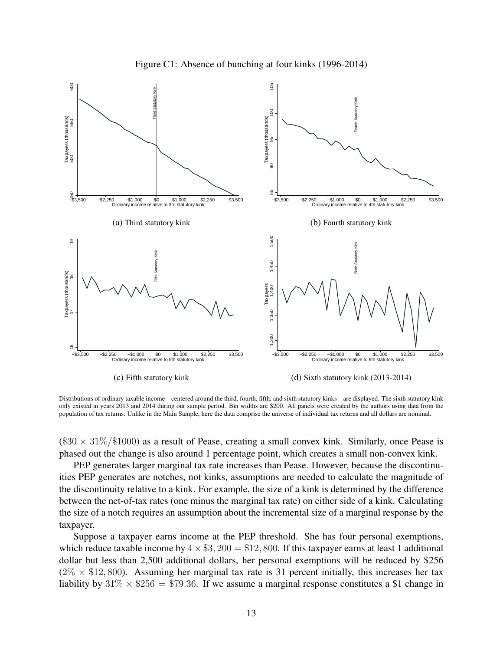



Distributions of ordinary taxable income – centered around the third, fourth, fifth, and sixth statutory kinks – are displayed. The sixth statutory kink only existed in years 2013 and 2014 during our sample period. Bin widths are \$200. All panels were created by the authors using data from the population of tax returns. Unlike in the Main Sample, here the data comprise the universe of individual tax returns and all dollars are nominal.

 $(\$30 \times 31\%/\$1000)$  as a result of Pease, creating a small convex kink. Similarly, once Pease is phased out the change is also around 1 percentage point, which creates a small non-convex kink.

PEP generates larger marginal tax rate increases than Pease. However, because the discontinuities PEP generates are notches, not kinks, assumptions are needed to calculate the magnitude of the discontinuity relative to a kink. For example, the size of a kink is determined by the difference between the net-of-tax rates (one minus the marginal tax rate) on either side of a kink. Calculating the size of a notch requires an assumption about the incremental size of a marginal response by the taxpayer.

Suppose a taxpayer earns income at the PEP threshold. She has four personal exemptions, which reduce taxable income by  $4 \times $3,200 = $12,800$ . If this taxpayer earns at least 1 additional dollar but less than 2,500 additional dollars, her personal exemptions will be reduced by \$256  $(2\% \times \$12,800)$ . Assuming her marginal tax rate is 31 percent initially, this increases her tax liability by  $31\% \times $256 = $79.36$ . If we assume a marginal response constitutes a \$1 change in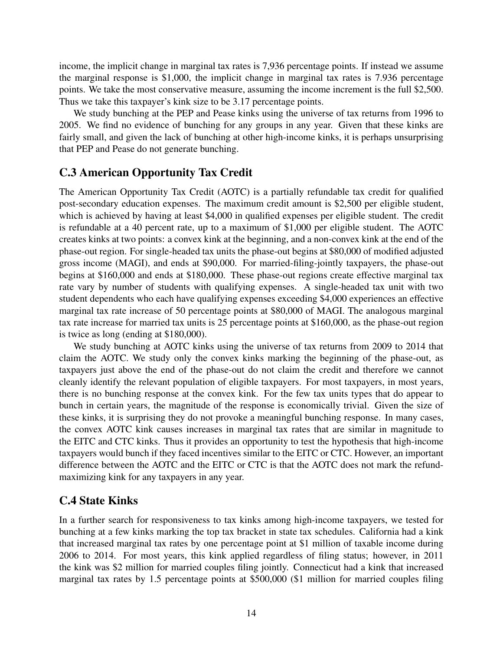income, the implicit change in marginal tax rates is 7,936 percentage points. If instead we assume the marginal response is \$1,000, the implicit change in marginal tax rates is 7.936 percentage points. We take the most conservative measure, assuming the income increment is the full \$2,500. Thus we take this taxpayer's kink size to be 3.17 percentage points.

We study bunching at the PEP and Pease kinks using the universe of tax returns from 1996 to 2005. We find no evidence of bunching for any groups in any year. Given that these kinks are fairly small, and given the lack of bunching at other high-income kinks, it is perhaps unsurprising that PEP and Pease do not generate bunching.

### C.3 American Opportunity Tax Credit

The American Opportunity Tax Credit (AOTC) is a partially refundable tax credit for qualified post-secondary education expenses. The maximum credit amount is \$2,500 per eligible student, which is achieved by having at least \$4,000 in qualified expenses per eligible student. The credit is refundable at a 40 percent rate, up to a maximum of \$1,000 per eligible student. The AOTC creates kinks at two points: a convex kink at the beginning, and a non-convex kink at the end of the phase-out region. For single-headed tax units the phase-out begins at \$80,000 of modified adjusted gross income (MAGI), and ends at \$90,000. For married-filing-jointly taxpayers, the phase-out begins at \$160,000 and ends at \$180,000. These phase-out regions create effective marginal tax rate vary by number of students with qualifying expenses. A single-headed tax unit with two student dependents who each have qualifying expenses exceeding \$4,000 experiences an effective marginal tax rate increase of 50 percentage points at \$80,000 of MAGI. The analogous marginal tax rate increase for married tax units is 25 percentage points at \$160,000, as the phase-out region is twice as long (ending at \$180,000).

We study bunching at AOTC kinks using the universe of tax returns from 2009 to 2014 that claim the AOTC. We study only the convex kinks marking the beginning of the phase-out, as taxpayers just above the end of the phase-out do not claim the credit and therefore we cannot cleanly identify the relevant population of eligible taxpayers. For most taxpayers, in most years, there is no bunching response at the convex kink. For the few tax units types that do appear to bunch in certain years, the magnitude of the response is economically trivial. Given the size of these kinks, it is surprising they do not provoke a meaningful bunching response. In many cases, the convex AOTC kink causes increases in marginal tax rates that are similar in magnitude to the EITC and CTC kinks. Thus it provides an opportunity to test the hypothesis that high-income taxpayers would bunch if they faced incentives similar to the EITC or CTC. However, an important difference between the AOTC and the EITC or CTC is that the AOTC does not mark the refundmaximizing kink for any taxpayers in any year.

### C.4 State Kinks

In a further search for responsiveness to tax kinks among high-income taxpayers, we tested for bunching at a few kinks marking the top tax bracket in state tax schedules. California had a kink that increased marginal tax rates by one percentage point at \$1 million of taxable income during 2006 to 2014. For most years, this kink applied regardless of filing status; however, in 2011 the kink was \$2 million for married couples filing jointly. Connecticut had a kink that increased marginal tax rates by 1.5 percentage points at \$500,000 (\$1 million for married couples filing